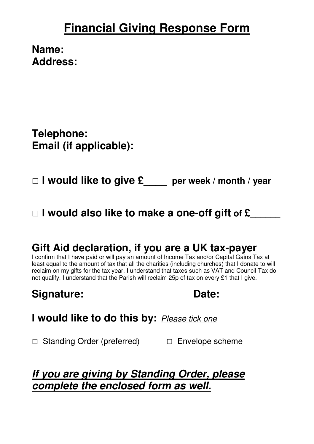# **Financial Giving Response Form**

**Name: Address:** 

**Telephone: Email (if applicable):** 

**□ I would like to give £\_\_\_\_ per week / month / year** 

**□ I would also like to make a one-off gift of £\_\_\_\_\_\_** 

### **Gift Aid declaration, if you are a UK tax-payer**

I confirm that I have paid or will pay an amount of Income Tax and/or Capital Gains Tax at least equal to the amount of tax that all the charities (including churches) that I donate to will reclaim on my gifts for the tax year. I understand that taxes such as VAT and Council Tax do not qualify. I understand that the Parish will reclaim 25p of tax on every £1 that I give.

**Signature: Date:** 

**I would like to do this by:** Please tick one

□ Standing Order (preferred) □ Envelope scheme

### **If you are giving by Standing Order, please complete the enclosed form as well.**